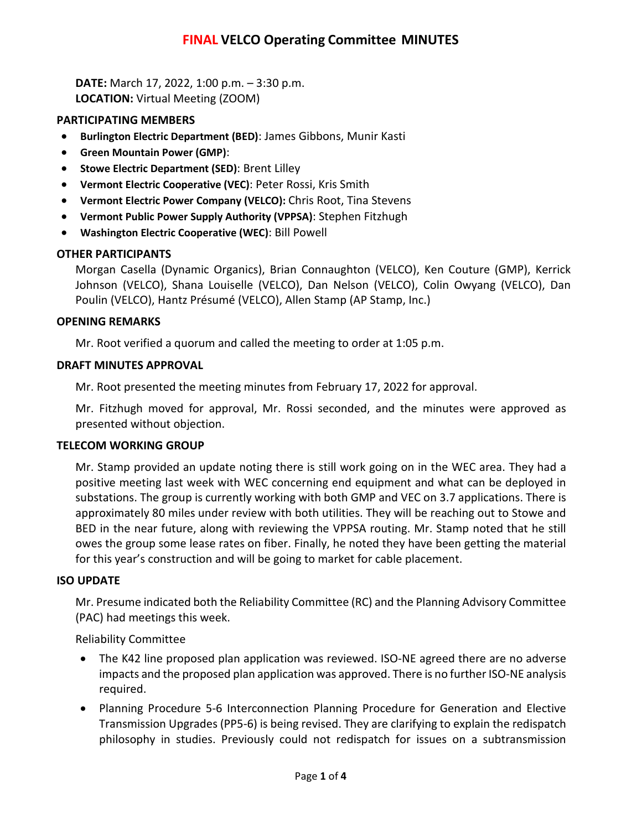# **FINAL VELCO Operating Committee MINUTES**

**DATE:** March 17, 2022, 1:00 p.m. – 3:30 p.m. **LOCATION:** Virtual Meeting (ZOOM)

### **PARTICIPATING MEMBERS**

- **Burlington Electric Department (BED)**: James Gibbons, Munir Kasti
- **Green Mountain Power (GMP)**:
- **Stowe Electric Department (SED)**: Brent Lilley
- **Vermont Electric Cooperative (VEC)**: Peter Rossi, Kris Smith
- **Vermont Electric Power Company (VELCO):** Chris Root, Tina Stevens
- **Vermont Public Power Supply Authority (VPPSA)**: Stephen Fitzhugh
- **Washington Electric Cooperative (WEC)**: Bill Powell

### **OTHER PARTICIPANTS**

Morgan Casella (Dynamic Organics), Brian Connaughton (VELCO), Ken Couture (GMP), Kerrick Johnson (VELCO), Shana Louiselle (VELCO), Dan Nelson (VELCO), Colin Owyang (VELCO), Dan Poulin (VELCO), Hantz Présumé (VELCO), Allen Stamp (AP Stamp, Inc.)

### **OPENING REMARKS**

Mr. Root verified a quorum and called the meeting to order at 1:05 p.m.

### **DRAFT MINUTES APPROVAL**

Mr. Root presented the meeting minutes from February 17, 2022 for approval.

Mr. Fitzhugh moved for approval, Mr. Rossi seconded, and the minutes were approved as presented without objection.

#### **TELECOM WORKING GROUP**

Mr. Stamp provided an update noting there is still work going on in the WEC area. They had a positive meeting last week with WEC concerning end equipment and what can be deployed in substations. The group is currently working with both GMP and VEC on 3.7 applications. There is approximately 80 miles under review with both utilities. They will be reaching out to Stowe and BED in the near future, along with reviewing the VPPSA routing. Mr. Stamp noted that he still owes the group some lease rates on fiber. Finally, he noted they have been getting the material for this year's construction and will be going to market for cable placement.

#### **ISO UPDATE**

Mr. Presume indicated both the Reliability Committee (RC) and the Planning Advisory Committee (PAC) had meetings this week.

Reliability Committee

- The K42 line proposed plan application was reviewed. ISO-NE agreed there are no adverse impacts and the proposed plan application was approved. There is no further ISO-NE analysis required.
- Planning Procedure 5-6 Interconnection Planning Procedure for Generation and Elective Transmission Upgrades (PP5-6) is being revised. They are clarifying to explain the redispatch philosophy in studies. Previously could not redispatch for issues on a subtransmission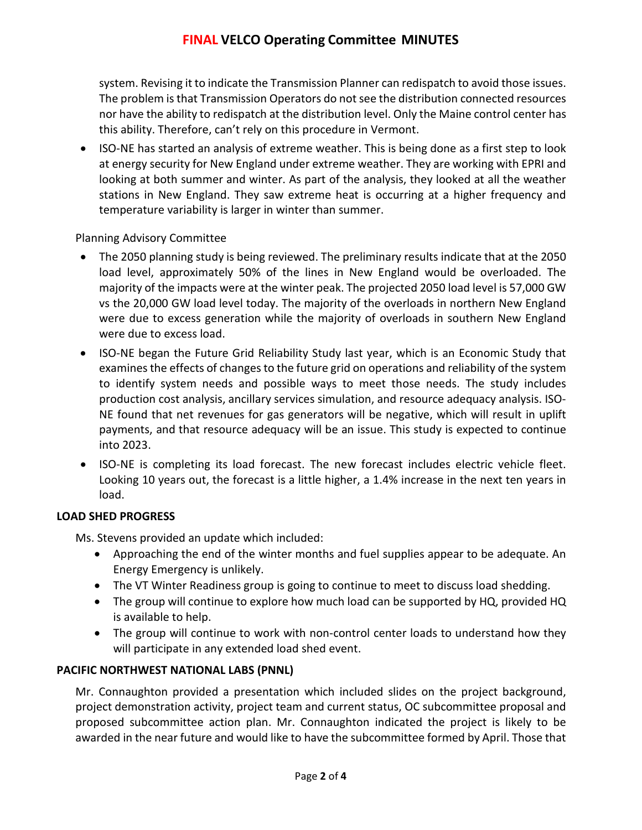# **FINAL VELCO Operating Committee MINUTES**

system. Revising it to indicate the Transmission Planner can redispatch to avoid those issues. The problem is that Transmission Operators do not see the distribution connected resources nor have the ability to redispatch at the distribution level. Only the Maine control center has this ability. Therefore, can't rely on this procedure in Vermont.

• ISO-NE has started an analysis of extreme weather. This is being done as a first step to look at energy security for New England under extreme weather. They are working with EPRI and looking at both summer and winter. As part of the analysis, they looked at all the weather stations in New England. They saw extreme heat is occurring at a higher frequency and temperature variability is larger in winter than summer.

## Planning Advisory Committee

- The 2050 planning study is being reviewed. The preliminary results indicate that at the 2050 load level, approximately 50% of the lines in New England would be overloaded. The majority of the impacts were at the winter peak. The projected 2050 load level is 57,000 GW vs the 20,000 GW load level today. The majority of the overloads in northern New England were due to excess generation while the majority of overloads in southern New England were due to excess load.
- ISO-NE began the Future Grid Reliability Study last year, which is an Economic Study that examines the effects of changes to the future grid on operations and reliability of the system to identify system needs and possible ways to meet those needs. The study includes production cost analysis, ancillary services simulation, and resource adequacy analysis. ISO-NE found that net revenues for gas generators will be negative, which will result in uplift payments, and that resource adequacy will be an issue. This study is expected to continue into 2023.
- ISO-NE is completing its load forecast. The new forecast includes electric vehicle fleet. Looking 10 years out, the forecast is a little higher, a 1.4% increase in the next ten years in load.

### **LOAD SHED PROGRESS**

Ms. Stevens provided an update which included:

- Approaching the end of the winter months and fuel supplies appear to be adequate. An Energy Emergency is unlikely.
- The VT Winter Readiness group is going to continue to meet to discuss load shedding.
- The group will continue to explore how much load can be supported by HQ, provided HQ is available to help.
- The group will continue to work with non-control center loads to understand how they will participate in any extended load shed event.

## **PACIFIC NORTHWEST NATIONAL LABS (PNNL)**

Mr. Connaughton provided a presentation which included slides on the project background, project demonstration activity, project team and current status, OC subcommittee proposal and proposed subcommittee action plan. Mr. Connaughton indicated the project is likely to be awarded in the near future and would like to have the subcommittee formed by April. Those that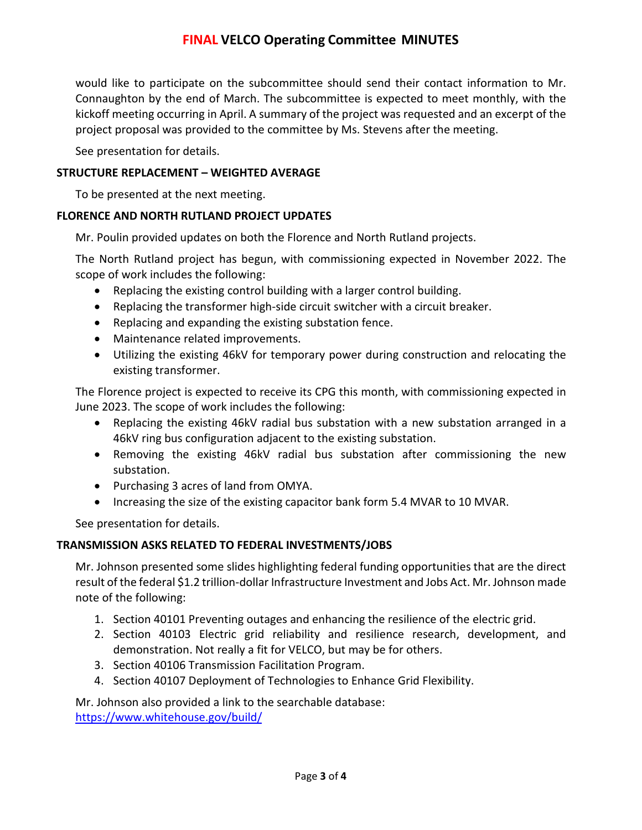# **FINAL VELCO Operating Committee MINUTES**

would like to participate on the subcommittee should send their contact information to Mr. Connaughton by the end of March. The subcommittee is expected to meet monthly, with the kickoff meeting occurring in April. A summary of the project was requested and an excerpt of the project proposal was provided to the committee by Ms. Stevens after the meeting.

See presentation for details.

## **STRUCTURE REPLACEMENT – WEIGHTED AVERAGE**

To be presented at the next meeting.

### **FLORENCE AND NORTH RUTLAND PROJECT UPDATES**

Mr. Poulin provided updates on both the Florence and North Rutland projects.

The North Rutland project has begun, with commissioning expected in November 2022. The scope of work includes the following:

- Replacing the existing control building with a larger control building.
- Replacing the transformer high-side circuit switcher with a circuit breaker.
- Replacing and expanding the existing substation fence.
- Maintenance related improvements.
- Utilizing the existing 46kV for temporary power during construction and relocating the existing transformer.

The Florence project is expected to receive its CPG this month, with commissioning expected in June 2023. The scope of work includes the following:

- Replacing the existing 46kV radial bus substation with a new substation arranged in a 46kV ring bus configuration adjacent to the existing substation.
- Removing the existing 46kV radial bus substation after commissioning the new substation.
- Purchasing 3 acres of land from OMYA.
- Increasing the size of the existing capacitor bank form 5.4 MVAR to 10 MVAR.

See presentation for details.

### **TRANSMISSION ASKS RELATED TO FEDERAL INVESTMENTS/JOBS**

Mr. Johnson presented some slides highlighting federal funding opportunities that are the direct result of the federal \$1.2 trillion-dollar Infrastructure Investment and Jobs Act. Mr. Johnson made note of the following:

- 1. Section 40101 Preventing outages and enhancing the resilience of the electric grid.
- 2. Section 40103 Electric grid reliability and resilience research, development, and demonstration. Not really a fit for VELCO, but may be for others.
- 3. Section 40106 Transmission Facilitation Program.
- 4. Section 40107 Deployment of Technologies to Enhance Grid Flexibility.

Mr. Johnson also provided a link to the searchable database:

<https://www.whitehouse.gov/build/>